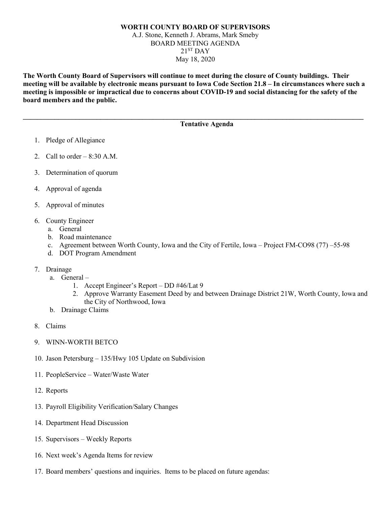## **WORTH COUNTY BOARD OF SUPERVISORS** A.J. Stone, Kenneth J. Abrams, Mark Smeby BOARD MEETING AGENDA  $21<sup>ST</sup>$  DAY May 18, 2020

**The Worth County Board of Supervisors will continue to meet during the closure of County buildings. Their meeting will be available by electronic means pursuant to Iowa Code Section 21.8 – In circumstances where such a meeting is impossible or impractical due to concerns about COVID-19 and social distancing for the safety of the board members and the public.** 

**\_\_\_\_\_\_\_\_\_\_\_\_\_\_\_\_\_\_\_\_\_\_\_\_\_\_\_\_\_\_\_\_\_\_\_\_\_\_\_\_\_\_\_\_\_\_\_\_\_\_\_\_\_\_\_\_\_\_\_\_\_\_\_\_\_\_\_\_\_\_\_\_\_\_\_\_\_\_\_\_\_\_\_\_\_\_\_\_\_\_\_\_\_\_\_\_\_**

## **Tentative Agenda**

- 1. Pledge of Allegiance
- 2. Call to order  $-8:30$  A.M.
- 3. Determination of quorum
- 4. Approval of agenda
- 5. Approval of minutes
- 6. County Engineer
	- a. General
	- b. Road maintenance
	- c. Agreement between Worth County, Iowa and the City of Fertile, Iowa Project FM-CO98 (77) –55-98
	- d. DOT Program Amendment
- 7. Drainage
	- a. General
		- 1. Accept Engineer's Report DD #46/Lat 9
		- 2. Approve Warranty Easement Deed by and between Drainage District 21W, Worth County, Iowa and the City of Northwood, Iowa
	- b. Drainage Claims
- 8. Claims
- 9. WINN-WORTH BETCO
- 10. Jason Petersburg 135/Hwy 105 Update on Subdivision
- 11. PeopleService Water/Waste Water
- 12. Reports
- 13. Payroll Eligibility Verification/Salary Changes
- 14. Department Head Discussion
- 15. Supervisors Weekly Reports
- 16. Next week's Agenda Items for review
- 17. Board members' questions and inquiries. Items to be placed on future agendas: